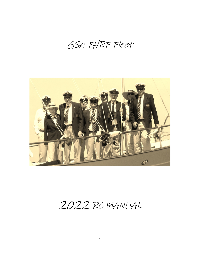GSA PHRF Fleet



RC MANUAL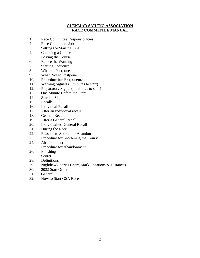### **GLENMAR SAILING ASSOCIATION RACE COMMITTEE MANUAL**

- 1. Race Committee Responsibilities
- 2. Race Committee Jobs
- 3. Setting the Starting Line
- 4. Choosing a Course
- 5. Posting the Course
- 6. Before the Warning
- 7. Starting Sequence
- 8. When to Postpone
- 9. When Not to Postpone
- 10. Procedure for Postponement
- 11. Warning Signals (5 minutes to start)
- 12. Preparatory Signal (4 minutes to start)
- 13. One Minute Before the Start
- 14. Starting Signal
- 15. Recalls
- 16. Individual Recall
- 17. After an Individual recall
- 18. General Recall
- 19. After a General Recall
- 20. Individual vs. General Recall
- 21. During the Race
- 22. Reasons to Shorten or Abandon
- 23. Procedure for Shortening the Course
- 24. Abandonment
- 25. Procedure for Abandonment
- 26. Finishing
- 27. Scorer
- 28. Definitions
- 29. Nighthawk Series Chart, Mark Locations & Distances
- 30. 2022 Start Order
- 31. General
- 32. How to Start GSA Races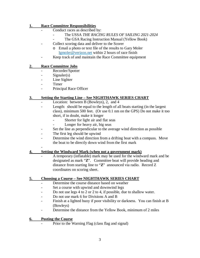#### **1. Race Committee Responsibilities**

- Conduct races as described by:
	- The USSA *THE RACING RULES OF SAILING 2021-2024*
	- The GSA Racing Instruction Manual (Yellow Book)
- Collect scoring data and deliver to the Scorer
	- o Email a photo or text file of the results to Gary Moler [lgmoler@verizon.net](mailto:lgmoler@verizon.net) within 2 hours of race finish
- Keep track of and maintain the Race Committee equipment

### **2. Race Committee Jobs**

- Recorder/Spotter
- Signaler(s)
- Line Sighter
- **Timer**
- Principal Race Officer

### **3. Setting the Starting Line – See NIGHTHAWK SERIES CHART**

- Location: between B (Bowleys), 2, and 4
- Length: should be equal to the length of all boats starting (in the largest class), minimum 500 feet. (Or use 0.1 nm on the GPS) Do not make it too short, if in doubt, make it longer
	- Shorter for light air and flat seas
	- Longer for heavy air, big seas
- Set the line as perpendicular to the average wind direction as possible
- The first leg should be upwind
- Determine the wind direction from a drifting boat with a compass. Move the boat to be directly down wind from the first mark

-

### **4. Setting the Windward Mark (when not a government mark)**

- A temporary (inflatable) mark may be used for the windward mark and be designated as mark "**Z**". Committee boat will provide heading and distance from starting line to "**Z**" announced via radio. Record Z coordinates on scoring sheet.

### **5. Choosing a Course – See NIGHTHAWK SERIES CHART**

- Determine the course distance based on weather
- Set a course with upwind and downwind legs
- Do not use legs 4 to 2 or 2 to 4, if possible, due to shallow water.
- Do not use mark 6 for Divisions A and B
- Finish at a lighted buoy if poor visibility or darkness. You can finish at B (Bowleys)
- Determine the distance from the Yellow Book, minimum of 2 miles

### **6. Posting the Course**

Prior to the Warning Flag (class flag and signal)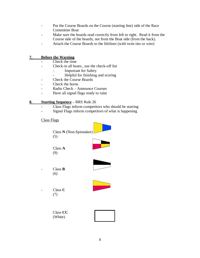- Put the Course Boards on the Course (starting line) side of the Race Committee Boat
- Make sure the boards read correctly from left to right. Read it from the Course side of the boards, not from the Boat side (from the back).
- Attach the Course Boards to the lifelines (with twist ties or wire)

#### **7. Before the Warning**

- Check the time
- Check-in all boats., use the check-off list
	- Important for Safety
	- Helpful for finishing and scoring
- Check the Course Boards
- Check the horns
- Radio Check Announce Courses
- Have all signal flags ready to raise

#### **8. Starting Sequence** – RRS Rule 26

- Class Flags inform competitors who should be starting

**Representative Commercial** 

- Signal Flags inform competitors of what is happening

#### Class Flags

| Class N (Non-Spinnaker)<br>(5) |  |
|--------------------------------|--|
| Class A<br>(9)                 |  |
| Class <b>B</b><br>(6)          |  |
| Class C<br>(7)                 |  |
| Class CC<br>(White)            |  |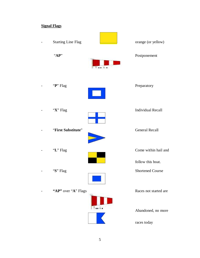## **Signal Flags**

| <b>Starting Line Flag</b> |                                | orange (or yellow)                        |
|---------------------------|--------------------------------|-------------------------------------------|
| "AP"                      |                                | Postponement                              |
| "P" Flag                  |                                | Preparatory                               |
| "X" Flag                  |                                | <b>Individual Recall</b>                  |
| "First Substitute"        |                                | <b>General Recall</b>                     |
| "L" Flag                  |                                | Come within hail and<br>follow this boat. |
| "S" ${\rm Flag}$          |                                | <b>Shortened Course</b>                   |
| "AP" over "A" Flags       |                                | Races not started are                     |
|                           | $T \bullet \bullet \downarrow$ | Abandoned, no more                        |
|                           |                                | races today                               |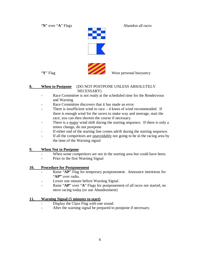"**N**" over "**A**" Flags Abandon all races





"Y" Flag Wear personal buoyancy

#### **8. When to Postpone** (DO NOT POSTPONE UNLESS ABSOLUTELY NECESSARY)

- Race Committee is not ready at the scheduled time for the Rendezvous and Warning
- Race Committee discovers that it has made an error
- There is insufficient wind to race  $-4$  knots of wind recommended. If there is enough wind for the racers to make way and steerage, start the race; you can then shorten the course if necessary.
- There is a major wind shift during the starting sequence. If there is only a minor change, do not postpone
- If either end of the starting line comes adrift during the starting sequence.
- If all the competitors are <u>unavoidably</u> not going to be in the racing area by the time of the Warning signal

### **9. When Not to Postpone**

- When some competitors are not in the starting area but could have been.
- Prior to the first Warning Signal

### **10. Procedure for Postponement**

- Raise "**AP**" Flag for temporary postponement. Announce intentions for "**AP"** over radio.
- Lower one minute before Warning Signal.
- Raise "**AP**" over "**A**" Flags for postponement of all races not started, no more racing today (or use Abandonment)

### **11. Warning Signal (5 minutes to start)**

- Display the Class Flag with one sound.
- After the warning signal be prepared to postpone if necessary.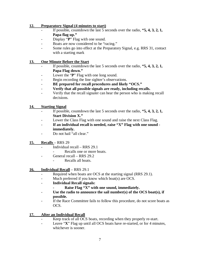#### **12. Preparatory Signal (4 minutes to start)**

- If possible, countdown the last 5 seconds over the radio, "5, 4, 3, 2, 1, **Papa flag up."**
- Display "**P**" Flag with one sound.
- Boats are now considered to be "racing."
- Some rules go into effect at the Preparatory Signal, e.g. RRS 31, contact with a starting mark

#### **13. One Minute Before the Start**

- If possible, countdown the last 5 seconds over the radio, "5, 4, 3, 2, 1, **Papa Flag down."**
- Lower the "**P**" Flag with one long sound.
- Begin recording the line sighter's observations.
- **BE prepared for recall procedures and likely "OCS."**
- **Verify that all possible signals are ready, including recalls.**
- Verify that the recall signaler can hear the person who is making recall decisions.

#### **14. Starting Signal**

- If possible, countdown the last 5 seconds over the radio, **"5, 4, 3, 2, 1, Start Division X."**
- Lower the Class Flag with one sound and raise the next Class Flag.
- **If an individual recall is needed, raise "X" Flag with one sound immediately.**
- Do not hail "all clear."

#### **15. Recalls** – RRS 29

- Individual recall RRS 29.1
	- Recalls one or more boats.
- General recall RRS 29.2
	- Recalls all boats.

### **16. Individual Recall** – RRS 29.1

- Required when boats are OCS at the starting signal (RRS 29.1).
- Much preferred if you know which boat(s) are OCS.
- **Individual Recall signals:**

### **- Raise Flag "X" with one sound, immediately.**

- **Use the radio to announce the sail number(s) of the OCS boat(s), if possible.**
- If the Race Committee fails to follow this procedure, do not score boats as OCS.

### **17. After an Individual Recall**

- Keep track of all OCS boats, recording when they properly re-start.
- Leave "**X**" Flag up until all OCS boats have re-started, or for 4 minutes, whichever is sooner.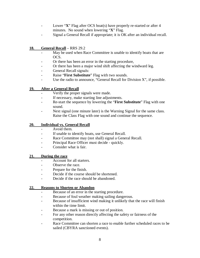- Lower "X" Flag after OCS boat(s) have properly re-started or after 4 minutes. No sound when lowering "**X**" Flag.
- Signal a General Recall if appropriate; it is OK after an individual recall.

### **18. General Recall** – RRS 29.2

- May be used when Race Committee is unable to identify boats that are OCS.
- Or there has been an error in the starting procedure,
- Or there has been a major wind shift affecting the windward leg.
- General Recall signals:
- Raise "**First Substitute**" Flag with two sounds.
- Use the radio to announce, "General Recall for Division X", if possible.

#### **19. After a General Recall**

- Verify the proper signals were made.
- If necessary, make starting line adjustments.
- Re-start the sequence by lowering the "**First Substitute**" Flag with one sound.
- Next signal (one minute later) is the Warning Signal for the same class. Raise the Class Flag with one sound and continue the sequence.

#### **20. Individual vs. General Recall**

- Avoid them.
- If unable to identify boats, use General Recall.
- Race Committee may (not shall) signal a General Recall.
- Principal Race Officer must decide quickly.
- Consider what is fair.

#### **21. During the race**

- Account for all starters.
- Observe the race.
- Prepare for the finish.
- Decide if the course should be shortened.
- Decide if the race should be abandoned.

#### **22. Reasons to Shorten or Abandon**

- Because of an error in the starting procedure.
- Because of foul weather making sailing dangerous.
- Because of insufficient wind making it unlikely that the race will finish within the time limit.
- Because a mark is missing or out of position.
- For any other reason directly affecting the safety or fairness of the competition.
- Race Committee can shorten a race to enable further scheduled races to be sailed (CBYRA sanctioned events).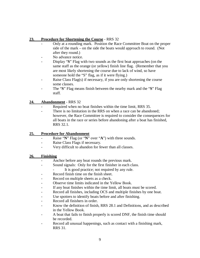#### **23. Procedure for Shortening the Course** - RRS 32

- Only at a rounding mark. Position the Race Committee Boat on the proper side of the mark – on the side the boats would approach to round. (Not after they round.)
- No advance notice.
- Display "S" Flag with two sounds as the first boat approaches (on the same staff as the orange (or yellow) finish line flag. (Remember that you are most likely shortening the course due to lack of wind, so have someone hold the "S" flag, as if it were flying.)
- Raise Class Flag(s) if necessary, if you are only shortening the course some classes.
- The "**S**" Flag means finish between the nearby mark and the "**S**" Flag staff.

### **24. Abandonment** - RRS 32

- Required when no boat finishes within the time limit, RRS 35.
- There is no limitation in the RRS on when a race can be abandoned; however, the Race Committee is required to consider the consequences for all boats in the race or series before abandoning after a boat has finished, RRS 32.1.

### **25. Procedure for Abandonment**

- Raise "**N**" Flag (or "**N**" over "**A**") with three sounds.
- Raise Class Flags if necessary.
- Very difficult to abandon for fewer than all classes.

### **26. Finishing**

- Anchor before any boat rounds the previous mark.
- Sound signals: Only for the first finisher in each class.
	- It is good practice; not required by any rule.
- Record finish time on the finish sheet.
- Record on multiple sheets as a check.
- Observe time limits indicated in the Yellow Book.
- If any boat finishes within the time limit, all boats must be scored.
- Record all finishes, including OCS and multiple finishes by one boat.
- Use spotters to identify boats before and after finishing.
- Record all finishers in order.
- Know the definition of finish, RRS 28.1 and Definitions, and as described in the Yellow Book.
- A boat that fails to finish properly is scored DNF, the finish time should be recorded.
- Record all unusual happenings, such as contact with a finishing mark, RRS 31.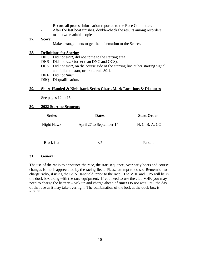- Record all protest information reported to the Race Committee.
- After the last boat finishes, double-check the results among recorders; make two readable copies.

#### **27. Scorer**

- Make arrangements to get the information to the Scorer.

#### **28. Definitions for Scoring**

- DNC Did not *start*, did not come to the starting area.
- DNS Did not *start* (other than DNC and OCS).
- OCS Did not *start*, on the course side of the starting line at her starting signal and failed to start, or broke rule 30.1.
- DNF Did not *finish*.
- DSQ Disqualification.

#### **29. Short-Handed & Nighthawk Series Chart, Mark Locations & Distances**

See pages 12 to 15.

#### **30. 2022 Starting Sequence**

| <b>Series</b> | <b>Dates</b>             | <b>Start Order</b> |  |  |
|---------------|--------------------------|--------------------|--|--|
| Night Hawk    | April 27 to September 14 | N, C, B, A, CC     |  |  |
|               |                          |                    |  |  |

Black Cat 8/5 Pursuit

#### **31. General**

The use of the radio to announce the race, the start sequence, over early boats and course changes is much appreciated by the racing fleet. Please attempt to do so. Remember to charge radio, if using the GSA Handheld, prior to the race. The VHF and GPS will be in the dock box along with the race equipment. If you need to use the club VHF, you may need to charge the battery – pick up and charge ahead of time! Do not wait until the day of the race as it may take overnight. The combination of the lock at the dock box is "1717".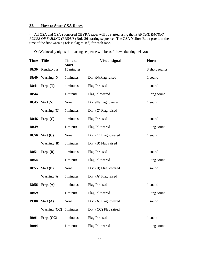### **32. How to Start GSA Races**

- All GSA and GSA-sponsored CBYRA races will be started using the ISAF *THE RACING RULES OF SAILING* (RRS/US) Rule 26 starting sequence. The GSA Yellow Book provides the time of the first warning (class flag raised) for each race.

- On Wednesday nights the starting sequence will be as follows (barring delays):

| <b>Time</b> | <b>Title</b>   | Time to<br>Start | <b>Visual signal</b>    | Horn           |
|-------------|----------------|------------------|-------------------------|----------------|
| 18:30       | Rendezvous     | 15 minutes       |                         | 3 short sounds |
| 18:40       | Warning $(N)$  | 5 minutes        | Div. $(N)$ Flag raised  | 1 sound        |
| 18:41       | Prep. $(N)$    | 4 minutes        | Flag P raised           | 1 sound        |
| 18:44       |                | 1-minute         | Flag P lowered          | 1 long sound   |
| 18:45       | Start $(N)$    | None             | Div. (N) Flag lowered   | 1 sound        |
|             | Warning $(C)$  | 5 minutes        | Div. $(C)$ Flag raised  |                |
| 18:46       | Prep. $(C)$    | 4 minutes        | Flag P raised           | 1 sound        |
| 18:49       |                | 1-minute         | Flag P lowered          | 1 long sound   |
| 18:50       | Start $(C)$    | None             | Div. (C) Flag lowered   | 1 sound        |
|             | Warning $(B)$  | 5 minutes        | Div. $(B)$ Flag raised  |                |
| 18:51       | Prep. $(B)$    | 4 minutes        | Flag P raised           | 1 sound        |
| 18:54       |                | 1-minute         | Flag P lowered          | 1 long sound   |
| 18:55       | Start $(B)$    | None             | Div. $(B)$ Flag lowered | 1 sound        |
|             | Warning $(A)$  | 5 minutes        | Div. $(A)$ Flag raised  |                |
| 18:56       | Prep. $(A)$    | 4 minutes        | Flag P raised           | 1 sound        |
| 18:59       |                | 1-minute         | Flag P lowered          | 1 long sound   |
| 19:00       | Start $(A)$    | None             | Div. (A) Flag lowered   | 1 sound        |
|             | Warning $(CC)$ | 5 minutes        | Div. (CC) Flag raised   |                |
| 19:01       | Prep. (CC)     | 4 minutes        | Flag P raised           | 1 sound        |
| 19:04       |                | 1-minute         | Flag P lowered          | 1 long sound   |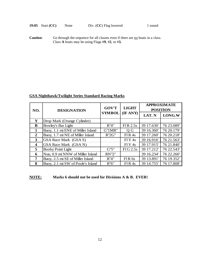**Caution:** Go through the sequence for all classes even if there are <u>no</u> boats in a class. Class **A** boats may be using Flags #**9**, #**2**, or #**3.**

#### **GSA Nighthawk/Twilight Series Standard Racing Marks**

| NO.                     | <b>DESIGNATION</b>                | <b>GOV'T</b>  | <b>LIGHT</b> | <b>APPROXIMATE</b><br><b>POSITION</b> |            |  |
|-------------------------|-----------------------------------|---------------|--------------|---------------------------------------|------------|--|
|                         |                                   | <b>SYMBOL</b> | (IF ANY)     | LAT. N                                | LONG.W     |  |
| Y                       | Drop Mark (Orange Cylinder)       |               |              |                                       |            |  |
| B                       | Bowley's Bar Light                | R''4"         | $FIR$ 2.5s   | 39 17.630'                            | 76 23.089' |  |
| $\mathbf{1}$            | Buoy, 1.1 mi ENE of Miller Island | G"1MR"        | Q G          | 39 16.360'                            | 76 20.179' |  |
| $\overline{2}$          | Buoy, 1.7 mi NE of Miller Island  | R"2G"         | F1R4s        | 39 17.260'                            | 76 20.218' |  |
| 3                       | GSA Race Mark (GSA S)             |               | FIY4s        | 39 16.916'                            | 76 21.563' |  |
| $\overline{\mathbf{4}}$ | GSA Race Mark (GSA N)             |               | FIY4s        | 39 17.915'                            | 76 21.840' |  |
| 5                       | <b>Booby Point Light</b>          | G''5''        | FIG 2.5s     | 39 17.212'                            | 76 22.543' |  |
| 6                       | Nun, 0.9 mi NNW of Miller Island  | <b>RN'2"</b>  |              | 39 16.234'                            | 76 22.260' |  |
| 7                       | Buoy, 2.5 mi SE of Miller Island  | R''4"         | $FIR$ 6s     | 39 13.891'                            | 76 19.352' |  |
| 8                       | Buoy, 2.1 mi SW of Poole's Island | R''6''        | F1R4s        | 39 14.755'                            | 76 17.808' |  |

**NOTE: Marks 6 should not be used for Divisions A & B. EVER!**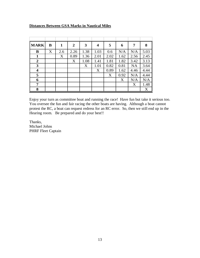### **Distances Between GSA Marks in Nautical Miles**

| <b>MARK</b>      | B | 1   | $\boldsymbol{2}$ | 3    | 4    | 5    | 6    | 7    | 8    |
|------------------|---|-----|------------------|------|------|------|------|------|------|
| B                | X | 2.6 | 2.26             | 1.38 | 1.03 | 0.6  | N/A  | N/A  | 5.03 |
| 1                |   | X   | 0.89             | 1.36 | 2.01 | 2.02 | 1.62 | 2.56 | 2.45 |
| $\boldsymbol{2}$ |   |     | X                | 1.08 | 1.41 | 1.81 | 1.82 | 3.42 | 3.13 |
| 3                |   |     |                  | X    | 1.01 | 0.82 | 0.81 | NA   | 3.64 |
| $\boldsymbol{4}$ |   |     |                  |      | X    | 0.89 | 1.62 | 4.46 | 4.44 |
| 5                |   |     |                  |      |      | X    | 0.92 | N/A  | 4.44 |
| 6                |   |     |                  |      |      |      | X    | N/A  | N/A  |
| 7                |   |     |                  |      |      |      |      | X    | 1.48 |
| 8                |   |     |                  |      |      |      |      |      | X    |

Enjoy your turn as committee boat and running the race! Have fun but take it serious too. You oversee the fun and fair racing the other boats are having. Although a boat cannot protest the RC, a boat can request redress for an RC error. So, then we still end up in the Hearing room. Be prepared and do your best!!

Thanks, Michael Johns PHRF Fleet Captain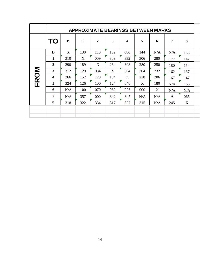|             |                | <b>APPROXIMATE BEARINGS BETWEEN MARKS</b> |              |                |     |     |     |     |                |     |
|-------------|----------------|-------------------------------------------|--------------|----------------|-----|-----|-----|-----|----------------|-----|
|             | TO             | B                                         | $\mathbf{1}$ | $\overline{2}$ | 3   | 4   | 5   | 6   | $\overline{7}$ | 8   |
|             | B              | X                                         | 130          | 110            | 132 | 086 | 144 | N/A | N/A            | 138 |
|             | 1              | 310                                       | X            | 009            | 309 | 332 | 306 | 280 | 177            | 142 |
|             | $\overline{2}$ | 290                                       | 189          | X              | 264 | 308 | 280 | 250 | 180            | 154 |
| <b>FROM</b> | 3              | 312                                       | 129          | 084            | X   | 004 | 304 | 232 | 162            | 137 |
|             | 4              | 266                                       | 152          | 128            | 184 | X   | 228 | 206 | 167            | 147 |
|             | 5              | 324                                       | 126          | 100            | 124 | 048 | X   | 180 | N/A            | 135 |
|             | 6              | N/A                                       | 100          | 070            | 052 | 026 | 000 | X   | N/A            | N/A |
|             | 7              | N/A                                       | 357          | 000            | 342 | 347 | N/A | N/A | X              | 065 |
|             | 8              | 318                                       | 322          | 334            | 317 | 327 | 315 | N/A | 245            | X   |
|             |                |                                           |              |                |     |     |     |     |                |     |
|             |                |                                           |              |                |     |     |     |     |                |     |